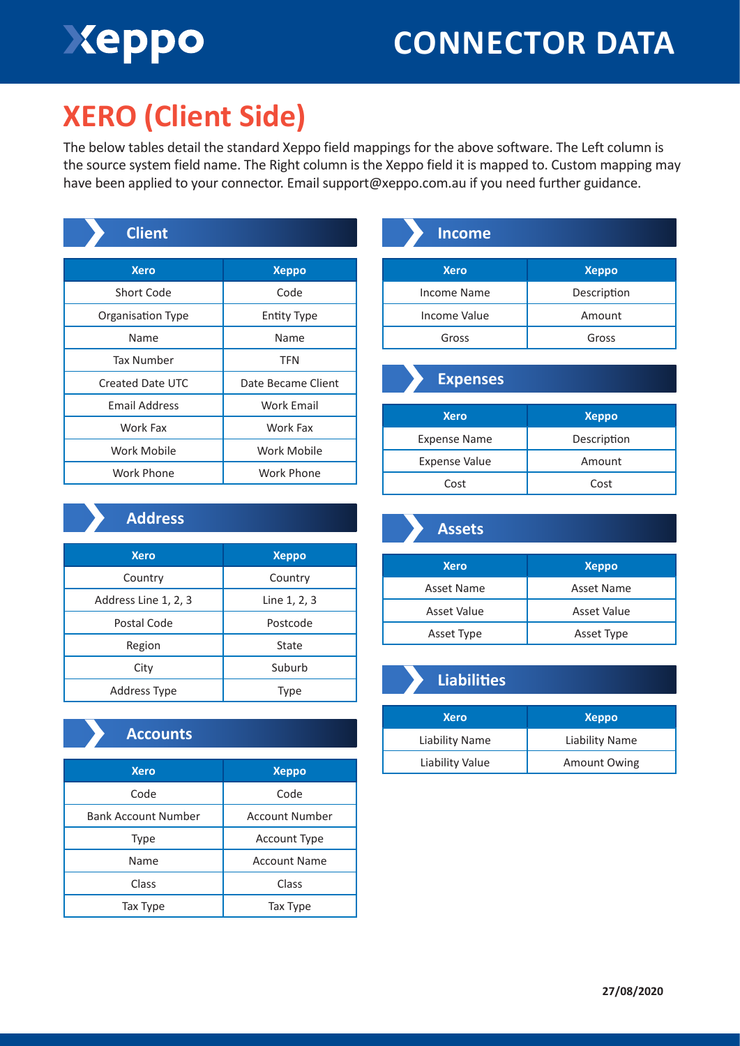# Xeppo

## **CONNECTOR DATA**

### **XERO (Client Side)**

The below tables detail the standard Xeppo field mappings for the above software. The Left column is the source system field name. The Right column is the Xeppo field it is mapped to. Custom mapping may have been applied to your connector. Email support@xeppo.com.au if you need further guidance.

| <b>Client</b>        |                    |
|----------------------|--------------------|
| <b>Xero</b>          | <b>Xeppo</b>       |
| <b>Short Code</b>    | Code               |
| Organisation Type    | Entity Type        |
| Name                 | Name               |
| Tax Number           | <b>TFN</b>         |
| Created Date UTC     | Date Became Client |
| <b>Email Address</b> | <b>Work Email</b>  |
| Work Fax             | Work Fax           |
| Work Mobile          | Work Mobile        |
| Work Phone           | Work Phone         |

| <b>Income</b>   |              |
|-----------------|--------------|
| <b>Xero</b>     | <b>Xeppo</b> |
| Income Name     | Description  |
| Income Value    | Amount       |
| Gross           | Gross        |
| <b>Expenses</b> |              |
| <b>Xero</b>     | <b>Xeppo</b> |

| <b>Xero</b>          | <b>Xeppo</b> |
|----------------------|--------------|
| <b>Expense Name</b>  | Description  |
| <b>Expense Value</b> | Amount       |
| Cost                 | Cost         |
|                      |              |

#### **Address**

| <b>Xero</b>          | <b>Xeppo</b> |
|----------------------|--------------|
| Country              | Country      |
| Address Line 1, 2, 3 | Line 1, 2, 3 |
| Postal Code          | Postcode     |
| Region               | State        |
| City                 | Suburb       |
| Address Type         | Type         |

### **Accounts**

| <b>Xero</b>                | <b>Xeppo</b>          |
|----------------------------|-----------------------|
| Code                       | Code                  |
| <b>Bank Account Number</b> | <b>Account Number</b> |
| <b>Type</b>                | <b>Account Type</b>   |
| Name                       | <b>Account Name</b>   |
| Class                      | Class                 |
| Tax Type                   | Tax Type              |

| <b>Xero</b> | <b>Xeppo</b> |
|-------------|--------------|
| Asset Name  | Asset Name   |
| Asset Value | Asset Value  |
| Asset Type  | Asset Type   |

**Assets**

| <b>Liabilities</b> |                     |
|--------------------|---------------------|
| <b>Xero</b>        | <b>Xeppo</b>        |
| Liability Name     | Liability Name      |
| Liability Value    | <b>Amount Owing</b> |